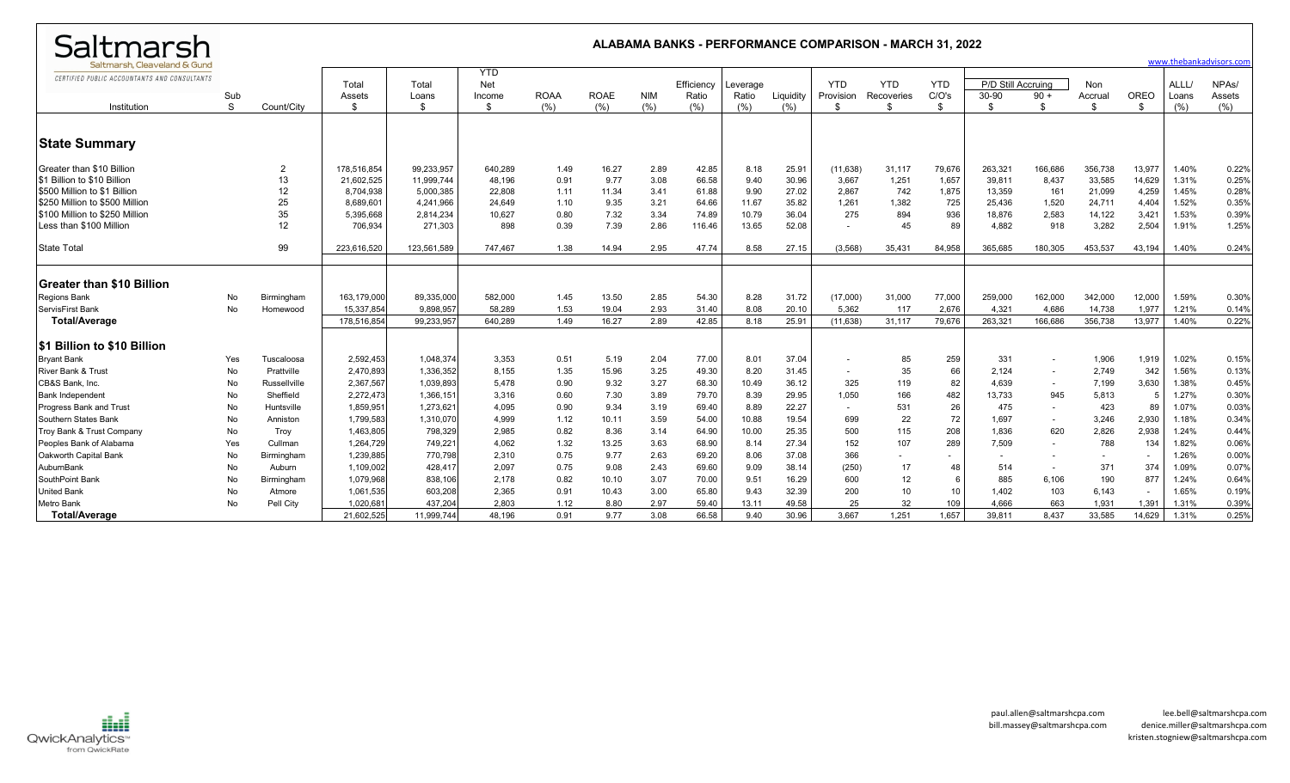| Saltmarsh                                    |     |                     |             |             |            |             |             |            |            |          |           |                          | <b>ALABAMA BANKS - PERFORMANCE COMPARISON - MARCH 31, 2022</b> |                          |           |                          |            |                          |       |                         |
|----------------------------------------------|-----|---------------------|-------------|-------------|------------|-------------|-------------|------------|------------|----------|-----------|--------------------------|----------------------------------------------------------------|--------------------------|-----------|--------------------------|------------|--------------------------|-------|-------------------------|
| Saltmarsh. Cleaveland & Gund                 |     |                     |             |             | <b>YTD</b> |             |             |            |            |          |           |                          |                                                                |                          |           |                          |            |                          |       | www.thebankadvisors.com |
| CERTIFIED PUBLIC ACCOUNTANTS AND CONSULTANTS |     |                     | Total       | Total       | Net        |             |             |            | Efficiency | Leverage |           | <b>YTD</b>               | <b>YTD</b>                                                     | <b>YTD</b>               | P/D Still | Accruing                 | <b>Non</b> |                          | ALLL/ | NPA <sub>s</sub> /      |
|                                              | Sub |                     | Assets      | Loans       | Income     | <b>ROAA</b> | <b>ROAE</b> | <b>NIM</b> | Ratio      | Ratio    | Liquidity | Provision                | Recoveries                                                     | C/O's                    | 30-90     | $90 +$                   | Accrual    | OREO                     | Loans | Assets                  |
| Institution                                  | S   | Count/City          | -\$         |             | \$         | (%)         | (%)         | (%)        | (%)        | (%)      | (% )      | \$                       | \$                                                             | \$                       | -S        | $\hat{\mathcal{L}}$      | \$         | -\$                      | (%)   | (% )                    |
|                                              |     |                     |             |             |            |             |             |            |            |          |           |                          |                                                                |                          |           |                          |            |                          |       |                         |
| <b>State Summary</b>                         |     |                     |             |             |            |             |             |            |            |          |           |                          |                                                                |                          |           |                          |            |                          |       |                         |
| Greater than \$10 Billion                    |     | 2                   | 178,516,854 | 99,233,957  | 640,289    | 1.49        | 16.27       | 2.89       | 42.85      | 8.18     | 25.9'     | (11,638)                 | 31,117                                                         | 79,676                   | 263,321   | 166,686                  | 356,738    | 13,977                   | 1.40% | 0.22%                   |
| \$1 Billion to \$10 Billion                  |     | 13                  | 21,602,525  | 11,999,744  | 48,196     | 0.91        | 9.77        | 3.08       | 66.58      | 9.40     | 30.96     | 3,667                    | 1,251                                                          | 1,657                    | 39,811    | 8,437                    | 33,585     | 14,629                   | 1.31% | 0.25%                   |
| \$500 Million to \$1 Billion                 |     | 12                  | 8,704,938   | 5,000,385   | 22,808     | 1.11        | 11.34       | 3.41       | 61.88      | 9.90     | 27.02     | 2,867                    | 742                                                            | 1,875                    | 13,359    | 161                      | 21,099     | 4,259                    | 1.45% | 0.28%                   |
| \$250 Million to \$500 Million               |     | 25                  | 8,689,601   | 4,241,966   | 24,649     | 1.10        | 9.35        | 3.21       | 64.66      | 11.67    | 35.82     | 1,261                    | 1,382                                                          | 725                      | 25,436    | 1,520                    | 24,711     | 4,404                    | 1.52% | 0.35%                   |
| \$100 Million to \$250 Million               |     | 35                  | 5,395,668   | 2,814,234   | 10,627     | 0.80        | 7.32        | 3.34       | 74.89      | 10.79    | 36.04     | 275                      | 894                                                            | 936                      | 18,876    | 2,583                    | 14,122     | 3,421                    | 1.53% | 0.39%                   |
| Less than \$100 Million                      |     | 12                  | 706,934     | 271,303     | 898        | 0.39        | 7.39        | 2.86       | 116.46     | 13.65    | 52.08     |                          | 45                                                             | 89                       | 4,882     | 918                      | 3,282      | 2,504                    | 1.91% | 1.25%                   |
| <b>State Total</b>                           |     | 99                  | 223,616,520 | 123.561.589 | 747.467    | 1.38        | 14.94       | 2.95       | 47.74      | 8.58     | 27.15     | (3,568)                  | 35.431                                                         | 84.958                   | 365.685   | 180.305                  | 453.537    | 43,194                   | 1.40% | 0.24%                   |
| <b>Greater than \$10 Billion</b>             |     |                     |             |             |            |             |             |            |            |          |           |                          |                                                                |                          |           |                          |            |                          |       |                         |
| <b>Regions Bank</b>                          | No  | Birmingham          | 163,179,000 | 89.335.000  | 582.000    | 1.45        | 13.50       | 2.85       | 54.30      | 8.28     | 31.72     | (17,000)                 | 31,000                                                         | 77,000                   | 259,000   | 162,000                  | 342,000    | 12,000                   | 1.59% | 0.30%                   |
| ServisFirst Bank                             | No  | Homewood            | 15.337.854  | 9.898.957   | 58.289     | 1.53        | 19.04       | 2.93       | 31.40      | 8.08     | 20.10     | 5.362                    | 117                                                            | 2.676                    | 4.321     | 4.686                    | 14.738     | 1.977                    | 1.21% | 0.14%                   |
| <b>Total/Average</b>                         |     |                     | 178.516.854 | 99,233,957  | 640.289    | 1.49        | 16.27       | 2.89       | 42.85      | 8.18     | 25.91     | (11,638)                 | 31,117                                                         | 79,676                   | 263,321   | 166,686                  | 356,738    | 13,977                   | 1.40% | 0.22%                   |
| <b>S1 Billion to \$10 Billion</b>            |     |                     |             |             |            |             |             |            |            |          |           |                          |                                                                |                          |           |                          |            |                          |       |                         |
| <b>Bryant Bank</b>                           | Yes | Tuscaloosa          | 2,592,453   | 1,048,374   | 3,353      | 0.51        | 5.19        | 2.04       | 77.00      | 8.01     | 37.04     | $\overline{\phantom{a}}$ | 85                                                             | 259                      | 331       | $\overline{\phantom{a}}$ | 1,906      | 1,919                    | 1.02% | 0.15%                   |
| <b>River Bank &amp; Trust</b>                | No  | Prattville          | 2,470,893   | 1,336,352   | 8,155      | 1.35        | 15.96       | 3.25       | 49.30      | 8.20     | 31.45     | $\overline{\phantom{a}}$ | 35                                                             | 66                       | 2,124     | $\sim$                   | 2,749      | 342                      | 1.56% | 0.13%                   |
| CB&S Bank. Inc.                              | No  | <b>Russellville</b> | 2,367,567   | 1.039.893   | 5.478      | 0.90        | 9.32        | 3.27       | 68.30      | 10.49    | 36.12     | 325                      | 119                                                            | 82                       | 4.639     | $\sim$                   | 7,199      | 3,630                    | 1.38% | 0.45%                   |
| <b>Bank Independent</b>                      | No  | Sheffield           | 2,272,473   | 1,366,15    | 3,316      | 0.60        | 7.30        | 3.89       | 79.70      | 8.39     | 29.95     | 1,050                    | 166                                                            | 482                      | 13,733    | 945                      | 5,813      | -5                       | 1.27% | 0.30%                   |
| <b>Progress Bank and Trust</b>               | No  | Huntsville          | 1,859,951   | 1,273,62    | 4.095      | 0.90        | 9.34        | 3.19       | 69.40      | 8.89     | 22.27     | $\sim$                   | 531                                                            | 26                       | 475       | $\sim$                   | 423        | 89                       | 1.07% | 0.03%                   |
| Southern States Bank                         | No  | Anniston            | 1,799,583   | 1,310,070   | 4,999      | 1.12        | 10.11       | 3.59       | 54.00      | 10.88    | 19.54     | 699                      | 22                                                             | 72                       | 1,697     | $\sim$                   | 3,246      | 2,930                    | 1.18% | 0.34%                   |
| Troy Bank & Trust Company                    | No  | Troy                | 1,463,805   | 798,329     | 2.985      | 0.82        | 8.36        | 3.14       | 64.90      | 10.00    | 25.35     | 500                      | 115                                                            | 208                      | 1.836     | 620                      | 2,826      | 2,938                    | 1.24% | 0.44%                   |
| Peoples Bank of Alabama                      | Yes | Cullman             | 1,264,729   | 749,221     | 4.062      | 1.32        | 13.25       | 3.63       | 68.90      | 8.14     | 27.34     | 152                      | 107                                                            | 289                      | 7.509     | $\sim$                   | 788        | 134                      | 1.82% | 0.06%                   |
| Oakworth Capital Bank                        | No  | Birmingham          | 1,239,885   | 770,798     | 2,310      | 0.75        | 9.77        | 2.63       | 69.20      | 8.06     | 37.08     | 366                      |                                                                | $\overline{\phantom{a}}$ |           | $\overline{\phantom{a}}$ |            | $\sim$                   | 1.26% | 0.00%                   |
| AuburnBank                                   | No  | Auburn              | 1,109,002   | 428,417     | 2,097      | 0.75        | 9.08        | 2.43       | 69.60      | 9.09     | 38.14     | (250)                    | 17                                                             | 48                       | 514       | $\sim$                   | 371        | 374                      | 1.09% | 0.07%                   |
| SouthPoint Bank                              | No  | Birmingham          | 1,079,968   | 838,106     | 2,178      | 0.82        | 10.10       | 3.07       | 70.00      | 9.51     | 16.29     | 600                      | 12                                                             | 6                        | 885       | 6,106                    | 190        | 877                      | 1.24% | 0.64%                   |
| <b>United Bank</b>                           | No  | Atmore              | 1,061,535   | 603,208     | 2.365      | 0.91        | 10.43       | 3.00       | 65.80      | 9.43     | 32.39     | 200                      | 10                                                             | 10                       | 1.402     | 103                      | 6,143      | $\overline{\phantom{a}}$ | 1.65% | 0.19%                   |
| <b>Metro Bank</b>                            | No  | Pell City           | 1.020.68    | 437.204     | 2.803      | 1.12        | 8.80        | 2.97       | 59.40      | 13.11    | 49.58     | 25                       | 32                                                             | 109                      | 4.666     | 663                      | 1.931      | 1,391                    | 1.31% | 0.39%                   |
| <b>Total/Average</b>                         |     |                     | 21,602,525  | 11.999.744  | 48.196     | 0.91        | 9.77        | 3.08       | 66.58      | 9.40     | 30.96     | 3.667                    | 1.251                                                          | 1.657                    | 39.811    | 8.437                    | 33,585     | 14.629                   | 1.31% | 0.25%                   |

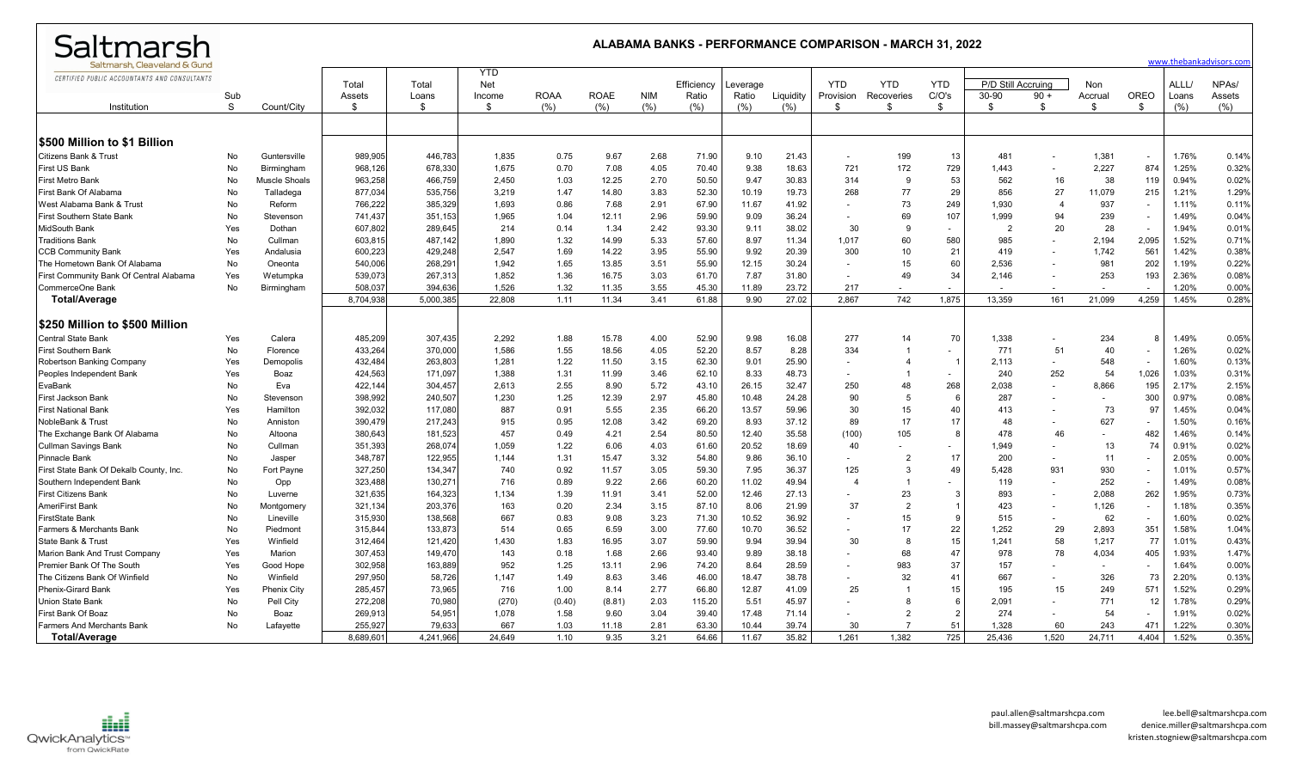| Saltmarsh                                                                    |            | ALABAMA BANKS - PERFORMANCE COMPARISON - MARCH 31. 2022 |                    |                    |                             |              |               |              |                     |                   |                |                          |                          |                          |                             |                | www.thebankadvisors.com  |                          |                |                              |
|------------------------------------------------------------------------------|------------|---------------------------------------------------------|--------------------|--------------------|-----------------------------|--------------|---------------|--------------|---------------------|-------------------|----------------|--------------------------|--------------------------|--------------------------|-----------------------------|----------------|--------------------------|--------------------------|----------------|------------------------------|
| Saltmarsh, Cleaveland & Gund<br>CERTIFIED PUBLIC ACCOUNTANTS AND CONSULTANTS | Sub        |                                                         | Total<br>Assets    | Total<br>Loans     | <b>YTD</b><br>Net<br>Income | <b>ROAA</b>  | <b>ROAE</b>   | <b>NIM</b>   | Efficiency<br>Ratio | Leverage<br>Ratio | Liquidity      | <b>YTD</b><br>Provision  | <b>YTD</b><br>Recoveries | <b>YTD</b><br>C/O's      | P/D Still Accruing<br>30-90 | $90 +$         | Non<br>Accrual           | OREO                     | ALLL/<br>Loans | NPA <sub>s</sub> /<br>Assets |
| Institution                                                                  | S          | Count/City                                              | \$                 | - \$               | \$                          | (% )         | (%)           | (% )         | (% )                | (%)               | (% )           | -S                       | \$.                      | \$                       | \$                          | -\$            | \$                       | \$                       | (% )           | $(\% )$                      |
|                                                                              |            |                                                         |                    |                    |                             |              |               |              |                     |                   |                |                          |                          |                          |                             |                |                          |                          |                |                              |
| <b>S500 Million to \$1 Billion</b>                                           |            |                                                         |                    |                    |                             |              |               |              |                     |                   |                |                          |                          |                          |                             |                |                          |                          |                |                              |
| <b>Citizens Bank &amp; Trust</b>                                             | No         | Guntersville                                            | 989,905            | 446.783            | 1,835                       | 0.75         | 9.67          | 2.68         | 71.90               | 9.10              | 21.43          | $\sim$                   | 199                      | 13                       | 481                         |                | 1,381                    | $\overline{\phantom{a}}$ | 1.76%          | 0.14%                        |
| <b>First US Bank</b>                                                         | No         | Birmingham                                              | 968,126            | 678,330            | 1,675                       | 0.70         | 7.08          | 4.05         | 70.40               | 9.38              | 18.63          | 721                      | 172                      | 729                      | 1.443                       |                | 2,227                    | 874                      | 1.25%          | 0.32%                        |
| First Metro Bank                                                             | No         | <b>Muscle Shoals</b>                                    | 963,258            | 466,759            | 2,450                       | 1.03         | 12.25         | 2.70         | 50.50               | 9.47              | 30.83          | 314                      | -9                       | 53                       | 562                         | 16             | 38                       | 119                      | 0.94%          | 0.02%                        |
| First Bank Of Alabama                                                        | No         | Talladega                                               | 877,034            | 535,756            | 3,219                       | 1.47         | 14.80         | 3.83         | 52.30               | 10.19             | 19.73          | 268                      | 77                       | 29                       | 856                         | 27             | 11,079                   | 215                      | 1.21%          | 1.29%                        |
| West Alabama Bank & Trust                                                    | No         | Reform                                                  | 766,222            | 385,329            | 1,693                       | 0.86         | 7.68          | 2.91         | 67.90               | 11.67             | 41.92          | $\sim$                   | 73                       | 249                      | 1,930                       | $\overline{4}$ | 937                      | $\blacksquare$           | 1.11%          | 0.11%                        |
|                                                                              |            |                                                         |                    |                    |                             |              | 12.11         |              |                     |                   |                |                          |                          |                          |                             | 94             |                          |                          | 1.49%          |                              |
| <b>First Southern State Bank</b>                                             | No         | Stevenson                                               | 741,437            | 351,153            | 1,965                       | 1.04         |               | 2.96         | 59.90               | 9.09              | 36.24          | $\sim$                   | 69<br><b>q</b>           | 107                      | 1,999<br>$\overline{2}$     |                | 239                      | $\sim$                   |                | 0.04%                        |
| <b>MidSouth Bank</b>                                                         | Yes        | Dothan                                                  | 607,802            | 289,645            | 214                         | 0.14         | 1.34          | 2.42         | 93.30               | 9.11              | 38.02          | 30                       |                          | $\overline{\phantom{a}}$ |                             | 20             | 28                       | $\sim$                   | 1.94%          | 0.01%                        |
| <b>Traditions Bank</b>                                                       | No         | Cullman                                                 | 603,815            | 487,142            | 1,890                       | 1.32         | 14.99         | 5.33         | 57.60               | 8.97              | 11.34          | 1,017                    | 60                       | 580                      | 985                         |                | 2,194                    | 2,095                    | 1.52%          | 0.71%                        |
| <b>CCB Community Bank</b>                                                    | Yes        | Andalusia                                               | 600,223            | 429.248            | 2,547                       | 1.69         | 14.22         | 3.95         | 55.90               | 9.92              | 20.39          | 300                      | 10                       | 21                       | 419                         |                | 1.742                    | 561                      | 1.42%          | 0.38%                        |
| The Hometown Bank Of Alabama                                                 | No         | Oneonta                                                 | 540,006            | 268,291            | 1,942                       | 1.65         | 13.85         | 3.51         | 55.90               | 12.15             | 30.24          | $\sim$                   | 15                       | 60                       | 2,536                       |                | 981                      | 202                      | 1.19%          | 0.22%                        |
| First Community Bank Of Central Alabama                                      | Yes        | Wetumpka                                                | 539,073            | 267,313            | 1,852                       | 1.36         | 16.75         | 3.03         | 61.70               | 7.87              | 31.80          | $\overline{\phantom{a}}$ | 49                       | 34                       | 2,146                       |                | 253                      | 193                      | 2.36%          | 0.08%                        |
| CommerceOne Bank                                                             | No         | Birmingham                                              | 508,037            | 394.636            | 1,526                       | 1.32         | 11.35         | 3.55         | 45.30               | 11.89             | 23.72          | 217                      |                          |                          |                             |                |                          |                          | 1.20%          | 0.00%                        |
| <b>Total/Average</b>                                                         |            |                                                         | 8,704,938          | 5,000,385          | 22,808                      | 1.11         | 11.34         | 3.41         | 61.88               | 9.90              | 27.02          | 2.867                    | 742                      | 1,875                    | 13,359                      | 161            | 21,099                   | 4,259                    | 1.45%          | 0.28%                        |
| S250 Million to \$500 Million!                                               |            |                                                         |                    |                    |                             |              |               |              |                     |                   |                |                          |                          |                          |                             |                |                          |                          |                |                              |
| <b>Central State Bank</b>                                                    | Yes        | Calera                                                  | 485,209            | 307,435            | 2,292                       | 1.88         | 15.78         | 4.00         | 52.90               | 9.98              | 16.08          | 277                      | 14                       | 70                       | 1,338                       |                | 234                      |                          | 1.49%          | 0.05%                        |
| <b>First Southern Bank</b>                                                   | No         | Florence                                                | 433,264            | 370,000            | 1,586                       | 1.55         | 18.56         | 4.05         | 52.20               | 8.57              | 8.28           | 334                      |                          |                          | 771                         | 51             | 40                       | $\overline{\phantom{a}}$ | 1.26%          | 0.02%                        |
|                                                                              |            |                                                         | 432,484            | 263,803            | 1,281                       | 1.22         | 11.50         | 3.15         | 62.30               | 9.01              | 25.90          |                          | $\boldsymbol{\varDelta}$ |                          | 2,113                       |                | 548                      | $\overline{\phantom{a}}$ | 1.60%          | 0.13%                        |
| Robertson Banking Company                                                    | Yes<br>Yes | Demopolis<br>Boaz                                       | 424,563            | 171,097            | 1,388                       | 1.31         | 11.99         | 3.46         | 62.10               | 8.33              | 48.73          |                          |                          | $\overline{\phantom{a}}$ | 240                         | 252            | 54                       | 1,026                    | 1.03%          | 0.31%                        |
| Peoples Independent Bank                                                     |            |                                                         |                    |                    |                             |              |               |              |                     |                   |                | $\sim$                   | 48                       |                          |                             |                |                          |                          |                |                              |
| EvaBank                                                                      | No         | Eva                                                     | 422,144<br>398,992 | 304,457<br>240,507 | 2,613<br>1,230              | 2.55<br>1.25 | 8.90<br>12.39 | 5.72<br>2.97 | 43.10<br>45.80      | 26.15<br>10.48    | 32.47<br>24.28 | 250<br>90                | 5                        | 268<br>6                 | 2,038<br>287                |                | 8,866                    | 195<br>300               | 2.17%<br>0.97% | 2.15%<br>0.08%               |
| First Jackson Bank                                                           | No         | Stevenson                                               |                    |                    |                             |              |               |              |                     |                   |                |                          |                          |                          |                             |                |                          |                          |                |                              |
| <b>First National Bank</b>                                                   | Yes        | Hamilton                                                | 392,032            | 117,080            | 887                         | 0.91         | 5.55          | 2.35         | 66.20               | 13.57             | 59.96          | 30                       | 15                       | 40                       | 413                         |                | 73                       | 97                       | 1.45%          | 0.04%                        |
| NobleBank & Trust                                                            | No         | Anniston                                                | 390,479            | 217,243            | 915                         | 0.95         | 12.08         | 3.42         | 69.20               | 8.93              | 37.12          | 89                       | 17                       | 17                       | 48                          |                | 627                      | $\overline{\phantom{a}}$ | 1.50%          | 0.16%                        |
| The Exchange Bank Of Alabama                                                 | No         | Altoona                                                 | 380,643            | 181,523            | 457                         | 0.49         | 4.21          | 2.54         | 80.50               | 12.40             | 35.58          | (100)                    | 105                      | - 8                      | 478                         | 46             |                          | 482                      | 1.46%          | 0.14%                        |
| <b>Cullman Savings Bank</b>                                                  | No         | Cullman                                                 | 351,393            | 268,074            | 1,059                       | 1.22         | 6.06          | 4.03         | 61.60               | 20.52             | 18.69          | 40                       |                          |                          | 1,949                       |                | 13                       | 74                       | 0.91%          | 0.02%                        |
| <b>Pinnacle Bank</b>                                                         | No         | Jasper                                                  | 348,787            | 122,955            | 1,144                       | 1.31         | 15.47         | 3.32         | 54.80               | 9.86              | 36.10          | $\sim$                   | $\overline{2}$           | 17                       | 200                         |                | 11                       | $\overline{\phantom{a}}$ | 2.05%          | 0.00%                        |
| First State Bank Of Dekalb County, Inc.                                      | No         | Fort Payne                                              | 327,250            | 134,347            | 740                         | 0.92         | 11.57         | 3.05         | 59.30               | 7.95              | 36.37          | 125                      | 3                        | 49                       | 5.428                       | 931            | 930                      | $\overline{\phantom{a}}$ | 1.01%          | 0.57%                        |
| Southern Independent Bank                                                    | No         | Opp                                                     | 323,488            | 130,271            | 716                         | 0.89         | 9.22          | 2.66         | 60.20               | 11.02             | 49.94          | $\overline{4}$           |                          |                          | 119                         |                | 252                      | $\overline{\phantom{a}}$ | 1.49%          | 0.08%                        |
| <b>First Citizens Bank</b>                                                   | No         | Luverne                                                 | 321,635            | 164,323            | 1,134                       | 1.39         | 11.91         | 3.41         | 52.00               | 12.46             | 27.13          | $\sim$                   | 23                       | -3                       | 893                         |                | 2,088                    | 262                      | 1.95%          | 0.73%                        |
| AmeriFirst Bank                                                              | No         | Montgomery                                              | 321,134            | 203,376            | 163                         | 0.20         | 2.34          | 3.15         | 87.10               | 8.06              | 21.99          | 37                       | $\overline{2}$           | $\overline{1}$           | 423                         |                | 1,126                    | $\blacksquare$           | 1.18%          | 0.35%                        |
| <b>FirstState Bank</b>                                                       | No         | Lineville                                               | 315,930            | 138,568            | 667                         | 0.83         | 9.08          | 3.23         | 71.30               | 10.52             | 36.92          | $\overline{a}$           | 15                       | -9                       | 515                         |                | 62                       | $\sim$                   | 1.60%          | 0.02%                        |
| Farmers & Merchants Bank                                                     | No         | Piedmont                                                | 315,844            | 133,873            | 514                         | 0.65         | 6.59          | 3.00         | 77.60               | 10.70             | 36.52          | $\sim$                   | 17                       | 22                       | 1,252                       | 29             | 2,893                    | 351                      | 1.58%          | 1.04%                        |
| <b>State Bank &amp; Trust</b>                                                | Yes        | Winfield                                                | 312,464            | 121,420            | 1,430                       | 1.83         | 16.95         | 3.07         | 59.90               | 9.94              | 39.94          | 30                       | 8                        | 15                       | 1,241                       | 58             | 1,217                    | 77                       | 1.01%          | 0.43%                        |
| Marion Bank And Trust Company                                                | Yes        | Marion                                                  | 307,453            | 149,470            | 143                         | 0.18         | 1.68          | 2.66         | 93.40               | 9.89              | 38.18          |                          | 68                       | 47                       | 978                         | 78             | 4,034                    | 405                      | 1.93%          | 1.47%                        |
| Premier Bank Of The South                                                    | Yes        | Good Hope                                               | 302,958            | 163,889            | 952                         | 1.25         | 13.11         | 2.96         | 74.20               | 8.64              | 28.59          | $\sim$                   | 983                      | 37                       | 157                         |                | $\overline{\phantom{a}}$ | $\blacksquare$           | 1.64%          | 0.00%                        |
| The Citizens Bank Of Winfield                                                | No         | Winfield                                                | 297,950            | 58,726             | 1,147                       | 1.49         | 8.63          | 3.46         | 46.00               | 18.47             | 38.78          | $\sim$                   | 32                       | 41                       | 667                         |                | 326                      | 73                       | 2.20%          | 0.13%                        |
| <b>Phenix-Girard Bank</b>                                                    | Yes        | <b>Phenix City</b>                                      | 285,457            | 73,965             | 716                         | 1.00         | 8.14          | 2.77         | 66.80               | 12.87             | 41.09          | 25                       | $\mathbf{1}$             | 15                       | 195                         | 15             | 249                      | 571                      | 1.52%          | 0.29%                        |
| <b>Union State Bank</b>                                                      | No         | Pell City                                               | 272,208            | 70,980             | (270)                       | (0.40)       | (8.81)        | 2.03         | 115.20              | 5.51              | 45.97          |                          | -8                       | 6                        | 2,091                       |                | 771                      | 12                       | 1.78%          | 0.29%                        |
| <b>First Bank Of Boaz</b>                                                    | No         | Boaz                                                    | 269,913            | 54,951             | 1,078                       | 1.58         | 9.60          | 3.04         | 39.40               | 17.48             | 71.14          | $\overline{\phantom{a}}$ | $\overline{2}$           | $\overline{2}$           | 274                         |                | 54                       |                          | 1.91%          | 0.02%                        |
| <b>Farmers And Merchants Bank</b>                                            | No         | Lafayette                                               | 255.927            | 79.633             | 667                         | 1.03         | 11.18         | 2.81         | 63.30               | 10.44             | 39.74          | 30                       |                          | 51                       | 1.328                       | 60             | 243                      | 471                      | 1.22%          | 0.30%                        |
| Total/Average                                                                |            |                                                         | 8.689.601          | 4,241,966          | 24.649                      | 1.10         | 9.35          | 3.21         | 64.66               | 11.67             | 35.82          | 1.261                    | 1.382                    | 725                      | 25.436                      | 1.520          | 24.711                   | 4.404                    | 1.52%          | 0.35%                        |

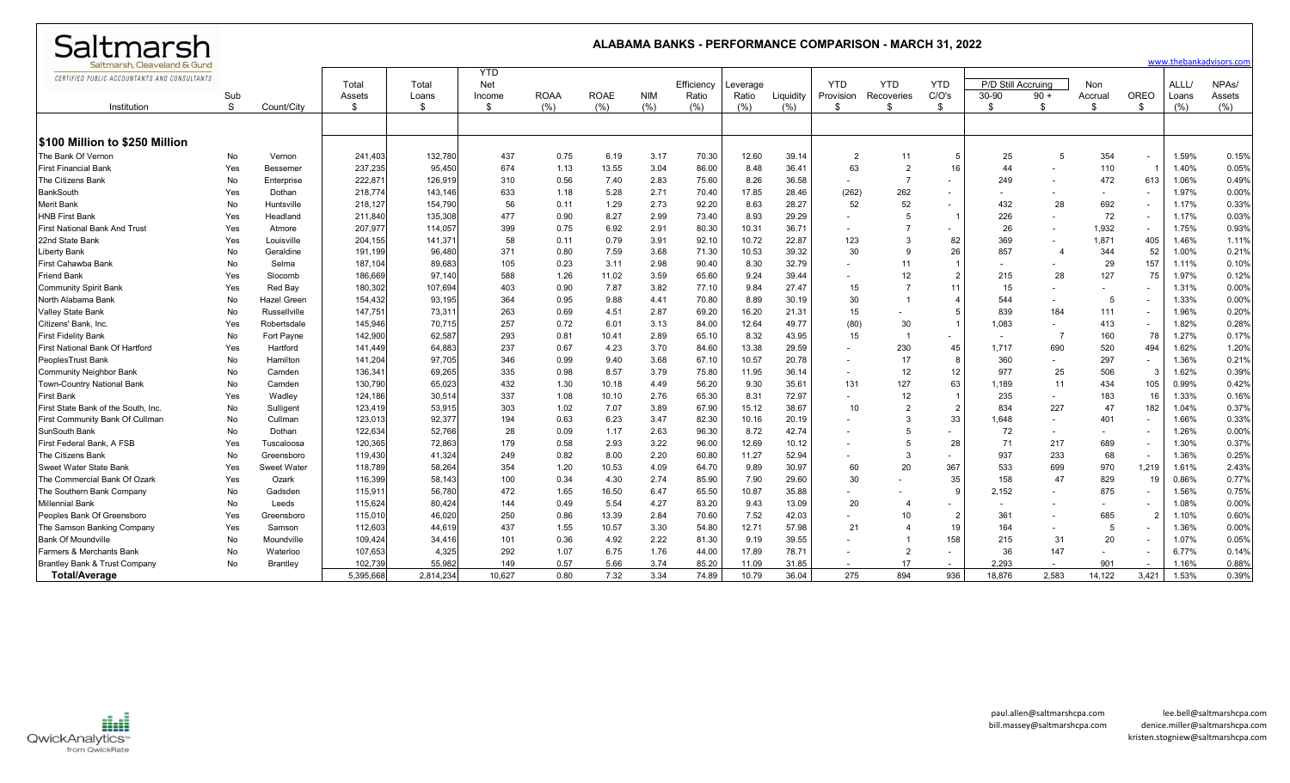| Saltmarsh                                    |     | ALABAMA BANKS - PERFORMANCE COMPARISON - MARCH 31, 2022<br>www.thebankadvisors.com |           |           |                          |             |             |            |            |          |           |                          |                |                          |                          |                          |                          |                          |       |                    |
|----------------------------------------------|-----|------------------------------------------------------------------------------------|-----------|-----------|--------------------------|-------------|-------------|------------|------------|----------|-----------|--------------------------|----------------|--------------------------|--------------------------|--------------------------|--------------------------|--------------------------|-------|--------------------|
| Saltmarsh. Cleaveland & Gunc                 |     |                                                                                    |           |           |                          |             |             |            |            |          |           |                          |                |                          |                          |                          |                          |                          |       |                    |
| CERTIFIED PUBLIC ACCOUNTANTS AND CONSULTANTS |     |                                                                                    | Total     | Total     | <b>YTD</b><br><b>Net</b> |             |             |            | Efficiency | Leverage |           | <b>YTD</b>               | <b>YTD</b>     | <b>YTD</b>               | P/D Still Accruing       |                          | Non                      |                          | ALLL/ | NPA <sub>s</sub> / |
|                                              | Sub |                                                                                    | Assets    | Loans     | Income                   | <b>ROAA</b> | <b>ROAE</b> | <b>NIM</b> | Ratio      | Ratio    | Liquidity | Provision                | Recoveries     | C/O's                    | 30-90                    | $90 +$                   | Accrual                  | OREO                     | Loans | Assets             |
| Institution                                  | S   | Count/City                                                                         | \$        | ୍ୟ        | \$                       | (% )        | (%)         | (%)        | (%)        | (% )     | (% )      | \$                       | \$             | \$                       | -\$                      | £.                       | <sup>\$</sup>            | \$                       | (%)   | (% )               |
|                                              |     |                                                                                    |           |           |                          |             |             |            |            |          |           |                          |                |                          |                          |                          |                          |                          |       |                    |
| <b>S100 Million to \$250 Million</b>         |     |                                                                                    |           |           |                          |             |             |            |            |          |           |                          |                |                          |                          |                          |                          |                          |       |                    |
| The Bank Of Vernon                           | No  | Vernon                                                                             | 241,403   | 132,780   | 437                      | 0.75        | 6.19        | 3.17       | 70.30      | 12.60    | 39.14     | $\overline{2}$           | 11             | 5                        | 25                       | 5                        | 354                      | $\sim$                   | 1.59% | 0.15%              |
| <b>First Financial Bank</b>                  | Yes | Bessemer                                                                           | 237,235   | 95,450    | 674                      | 1.13        | 13.55       | 3.04       | 86.00      | 8.48     | 36.41     | 63                       | $\overline{2}$ | 16                       | 44                       |                          | 110                      |                          | 1.40% | 0.05%              |
| The Citizens Bank                            | No  | Enterprise                                                                         | 222,87    | 126,919   | 310                      | 0.56        | 7.40        | 2.83       | 75.60      | 8.26     | 36.58     | $\sim$                   |                | $\overline{\phantom{0}}$ | 249                      |                          | 472                      | 613                      | 1.06% | 0.49%              |
| <b>BankSouth</b>                             | Yes | Dothan                                                                             | 218,774   | 143,146   | 633                      | 1.18        | 5.28        | 2.71       | 70.40      | 17.85    | 28.46     | (262)                    | 262            | $\overline{\phantom{a}}$ |                          |                          |                          | $\sim$                   | 1.97% | 0.00%              |
| Merit Bank                                   | No  | Huntsville                                                                         | 218,127   | 154,790   | 56                       | 0.11        | 1.29        | 2.73       | 92.20      | 8.63     | 28.27     | 52                       | 52             | $\overline{\phantom{0}}$ | 432                      | 28                       | 692                      | $\sim$                   | 1.17% | 0.33%              |
| <b>HNB First Bank</b>                        | Yes | Headland                                                                           | 211,840   | 135,308   | 477                      | 0.90        | 8.27        | 2.99       | 73.40      | 8.93     | 29.29     | $\sim$                   | 5              | $\overline{1}$           | 226                      |                          | 72                       | $\sim$                   | 1.17% | 0.03%              |
| <b>First National Bank And Trust</b>         | Yes | Atmore                                                                             | 207,977   | 114,057   | 399                      | 0.75        | 6.92        | 2.91       | 80.30      | 10.31    | 36.71     | $\overline{\phantom{a}}$ |                |                          | 26                       |                          | 1,932                    | $\sim$                   | 1.75% | 0.93%              |
| 22nd State Bank                              | Yes | Louisville                                                                         | 204,155   | 141,37'   | 58                       | 0.11        | 0.79        | 3.91       | 92.10      | 10.72    | 22.87     | 123                      | $\mathcal{B}$  | 82                       | 369                      |                          | 1,871                    | 405                      | 1.46% | 1.11%              |
| <b>Liberty Bank</b>                          | No  | Geraldine                                                                          | 191,199   | 96,480    | 371                      | 0.80        | 7.59        | 3.68       | 71.30      | 10.53    | 39.32     | 30                       | 9              | 26                       | 857                      | $\overline{\phantom{a}}$ | 344                      | 52                       | 1.00% | 0.21%              |
| First Cahawba Bank                           | No  | Selma                                                                              | 187,104   | 89,683    | 105                      | 0.23        | 3.11        | 2.98       | 90.40      | 8.30     | 32.79     |                          | 11             |                          |                          |                          | 29                       | 157                      | 1.11% | 0.10%              |
| <b>Friend Bank</b>                           | Yes | Slocomb                                                                            | 186,669   | 97.140    | 588                      | 1.26        | 11.02       | 3.59       | 65.60      | 9.24     | 39.44     | $\sim$                   | 12             | $\overline{2}$           | 215                      | 28                       | 127                      | 75                       | 1.97% | 0.12%              |
| <b>Community Spirit Bank</b>                 | Yes | Red Bay                                                                            | 180,302   | 107,694   | 403                      | 0.90        | 7.87        | 3.82       | 77.10      | 9.84     | 27.47     | 15                       |                | 11                       | 15                       |                          |                          | $\overline{\phantom{0}}$ | 1.31% | 0.00%              |
| North Alabama Bank                           | No  | Hazel Green                                                                        | 154,432   | 93,195    | 364                      | 0.95        | 9.88        | 4.41       | 70.80      | 8.89     | 30.19     | 30                       | $\blacksquare$ | $\overline{4}$           | 544                      |                          | -5                       |                          | 1.33% | 0.00%              |
| Valley State Bank                            | No  | Russellville                                                                       | 147,751   | 73,31'    | 263                      | 0.69        | 4.51        | 2.87       | 69.20      | 16.20    | 21.31     | 15                       |                | 5                        | 839                      | 184                      | 111                      | $\overline{\phantom{a}}$ | 1.96% | 0.20%              |
| Citizens' Bank, Inc.                         | Yes | Robertsdale                                                                        | 145,946   | 70,715    | 257                      | 0.72        | 6.01        | 3.13       | 84.00      | 12.64    | 49.77     | (80)                     | 30             | $\overline{1}$           | 1,083                    |                          | 413                      | $\sim$                   | 1.82% | 0.28%              |
| <b>First Fidelity Bank</b>                   | No  | Fort Payne                                                                         | 142,900   | 62,587    | 293                      | 0.81        | 10.41       | 2.89       | 65.10      | 8.32     | 43.95     | 15                       |                | $\overline{\phantom{a}}$ | $\overline{\phantom{a}}$ | 7                        | 160                      | 78                       | 1.27% | 0.17%              |
| First National Bank Of Hartford              | Yes | Hartford                                                                           | 141,449   | 64,883    | 237                      | 0.67        | 4.23        | 3.70       | 84.60      | 13.38    | 29.59     |                          | 230            | 45                       | 1,717                    | 690                      | 520                      | 494                      | 1.62% | 1.20%              |
| PeoplesTrust Bank                            | No  | Hamilton                                                                           | 141,204   | 97,705    | 346                      | 0.99        | 9.40        | 3.68       | 67.10      | 10.57    | 20.78     | $\sim$                   | 17             | 8                        | 360                      |                          | 297                      | $\sim$                   | 1.36% | 0.21%              |
| <b>Community Neighbor Bank</b>               | No  | Camden                                                                             | 136,341   | 69,265    | 335                      | 0.98        | 8.57        | 3.79       | 75.80      | 11.95    | 36.14     | $\sim$                   | 12             | 12                       | 977                      | 25                       | 506                      | $\mathcal{B}$            | 1.62% | 0.39%              |
| Town-Country National Bank                   | No  | Camden                                                                             | 130,790   | 65,023    | 432                      | 1.30        | 10.18       | 4.49       | 56.20      | 9.30     | 35.61     | 131                      | 127            | 63                       | 1.189                    | 11                       | 434                      | 105                      | 0.99% | 0.42%              |
| <b>First Bank</b>                            | Yes | Wadley                                                                             | 124,186   | 30,514    | 337                      | 1.08        | 10.10       | 2.76       | 65.30      | 8.31     | 72.97     | $\overline{\phantom{a}}$ | 12             | $\overline{1}$           | 235                      |                          | 183                      | 16                       | 1.33% | 0.16%              |
| First State Bank of the South, Inc.          | No  | Sulligent                                                                          | 123,419   | 53,915    | 303                      | 1.02        | 7.07        | 3.89       | 67.90      | 15.12    | 38.67     | 10                       | $\overline{2}$ | $\overline{2}$           | 834                      | 227                      | 47                       | 182                      | 1.04% | 0.37%              |
| First Community Bank Of Cullmar              | No  | Cullman                                                                            | 123,013   | 92,377    | 194                      | 0.63        | 6.23        | 3.47       | 82.30      | 10.16    | 20.19     | $\overline{\phantom{a}}$ | 3              | 33                       | 1,648                    | $\overline{a}$           | 401                      | $\sim$                   | 1.66% | 0.33%              |
| SunSouth Bank                                | No  | Dothan                                                                             | 122,634   | 52,766    | 28                       | 0.09        | 1.17        | 2.63       | 96.30      | 8.72     | 42.74     | $\overline{\phantom{a}}$ |                | $\overline{\phantom{a}}$ | 72                       | $\overline{\phantom{a}}$ | $\overline{\phantom{a}}$ | $\overline{\phantom{a}}$ | 1.26% | 0.00%              |
| First Federal Bank, A FSB                    | Yes | Tuscaloosa                                                                         | 120,365   | 72,863    | 179                      | 0.58        | 2.93        | 3.22       | 96.00      | 12.69    | 10.12     |                          | $\overline{5}$ | 28                       | 71                       | 217                      | 689                      | $\sim$                   | 1.30% | 0.37%              |
| The Citizens Bank                            | No  | Greensboro                                                                         | 119,430   | 41,324    | 249                      | 0.82        | 8.00        | 2.20       | 60.80      | 11.27    | 52.94     | $\overline{\phantom{a}}$ | 3              | $\overline{\phantom{a}}$ | 937                      | 233                      | 68                       | $\sim$                   | 1.36% | 0.25%              |
| Sweet Water State Bank                       | Yes | Sweet Water                                                                        | 118,789   | 58,264    | 354                      | 1.20        | 10.53       | 4.09       | 64.70      | 9.89     | 30.97     | 60                       | 20             | 367                      | 533                      | 699                      | 970                      | 1,219                    | 1.61% | 2.43%              |
| The Commercial Bank Of Ozark                 | Yes | Ozark                                                                              | 116,399   | 58,143    | 100                      | 0.34        | 4.30        | 2.74       | 85.90      | 7.90     | 29.60     | 30                       |                | 35                       | 158                      | 47                       | 829                      | 19                       | 0.86% | 0.77%              |
| The Southern Bank Company                    | No  | Gadsden                                                                            | 115,91'   | 56,780    | 472                      | 1.65        | 16.50       | 6.47       | 65.50      | 10.87    | 35.88     | $\sim$                   |                | <sub>9</sub>             | 2,152                    | $\overline{\phantom{a}}$ | 875                      | $\sim$                   | 1.56% | 0.75%              |
| <b>Millennial Bank</b>                       | No  | Leeds                                                                              | 115,624   | 80,424    | 144                      | 0.49        | 5.54        | 4.27       | 83.20      | 9.43     | 13.09     | 20                       | $\overline{4}$ | $\overline{\phantom{0}}$ |                          |                          |                          | $\overline{\phantom{a}}$ | 1.08% | 0.00%              |
| Peoples Bank Of Greensboro                   | Yes | Greensboro                                                                         | 115,010   | 46,020    | 250                      | 0.86        | 13.39       | 2.84       | 70.60      | 7.52     | 42.03     | $\sim$                   | 10             | $\overline{2}$           | 361                      |                          | 685                      |                          | 1.10% | 0.60%              |
| The Samson Banking Company                   | Yes | Samson                                                                             | 112,603   | 44.619    | 437                      | 1.55        | 10.57       | 3.30       | 54.80      | 12.71    | 57.98     | 21                       | $\mathbf{A}$   | 19                       | 164                      |                          | 5                        | $\overline{\phantom{a}}$ | 1.36% | 0.00%              |
| <b>Bank Of Moundville</b>                    | No  | Moundville                                                                         | 109,424   | 34.416    | 101                      | 0.36        | 4.92        | 2.22       | 81.30      | 9.19     | 39.55     |                          |                | 158                      | 215                      | 31                       | 20                       | $\overline{\phantom{a}}$ | 1.07% | 0.05%              |
| Farmers & Merchants Bank                     | No  | Waterloo                                                                           | 107,653   | 4,325     | 292                      | 1.07        | 6.75        | 1.76       | 44.00      | 17.89    | 78.71     | $\overline{\phantom{a}}$ | $\overline{2}$ | $\sim$                   | 36                       | 147                      |                          | $\sim$                   | 6.77% | 0.14%              |
| Brantley Bank & Trust Company                | No  | Brantley                                                                           | 102,739   | 55,982    | 149                      | 0.57        | 5.66        | 3.74       | 85.20      | 11.09    | 31.85     |                          | 17             | $\overline{\phantom{a}}$ | 2.293                    | $\overline{\phantom{a}}$ | 901                      |                          | 1.16% | 0.88%              |
| <b>Total/Average</b>                         |     |                                                                                    | 5,395,668 | 2,814,234 | 10,627                   | 0.80        | 7.32        | 3.34       | 74.89      | 10.79    | 36.04     | 275                      | 894            | 936                      | 18,876                   | 2,583                    | 14,122                   | 3,421                    | 1.53% | 0.39%              |